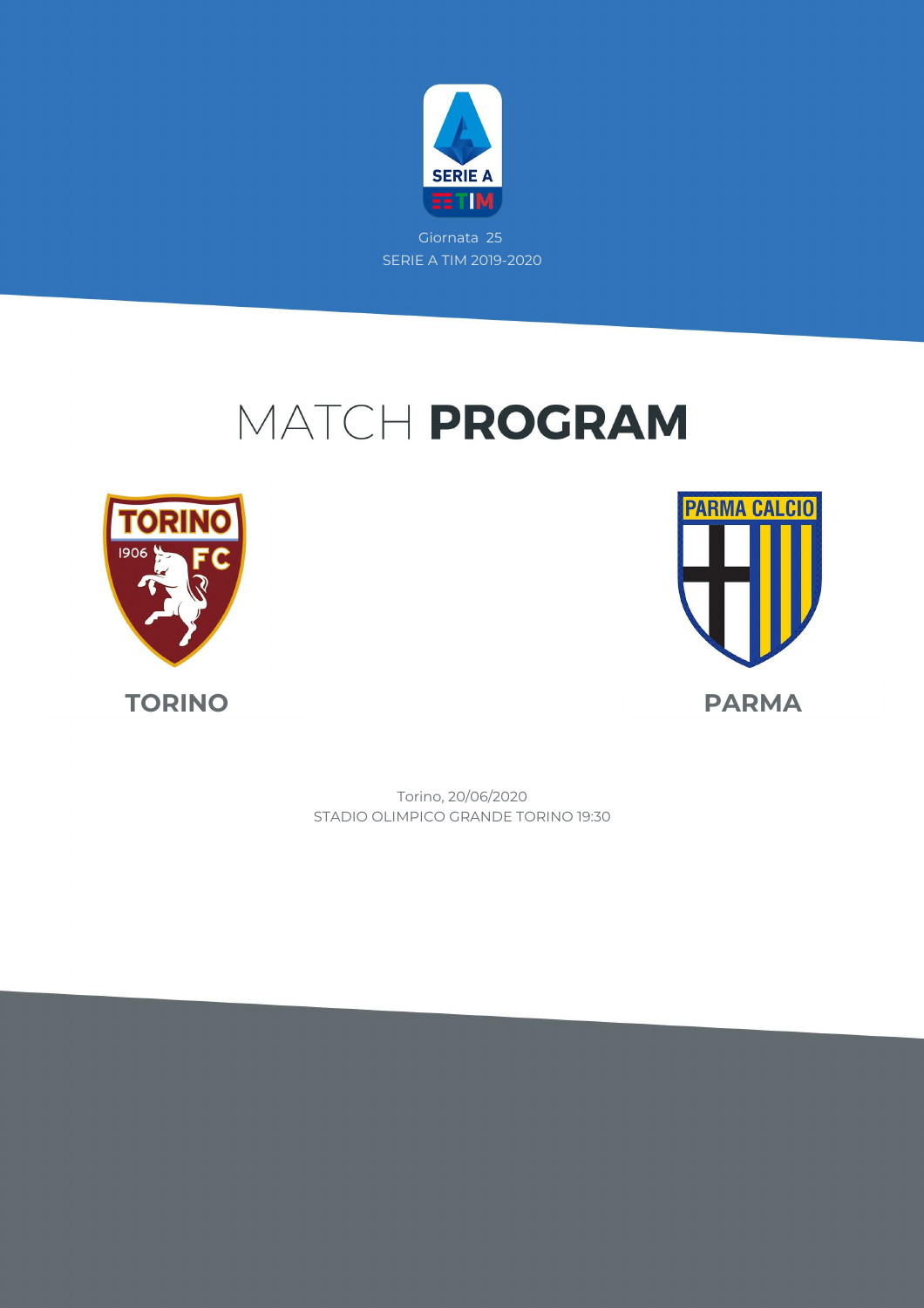

# MATCH PROGRAM





STADIO OLIMPICO GRANDE TORINO 19:30 Torino, 20/06/2020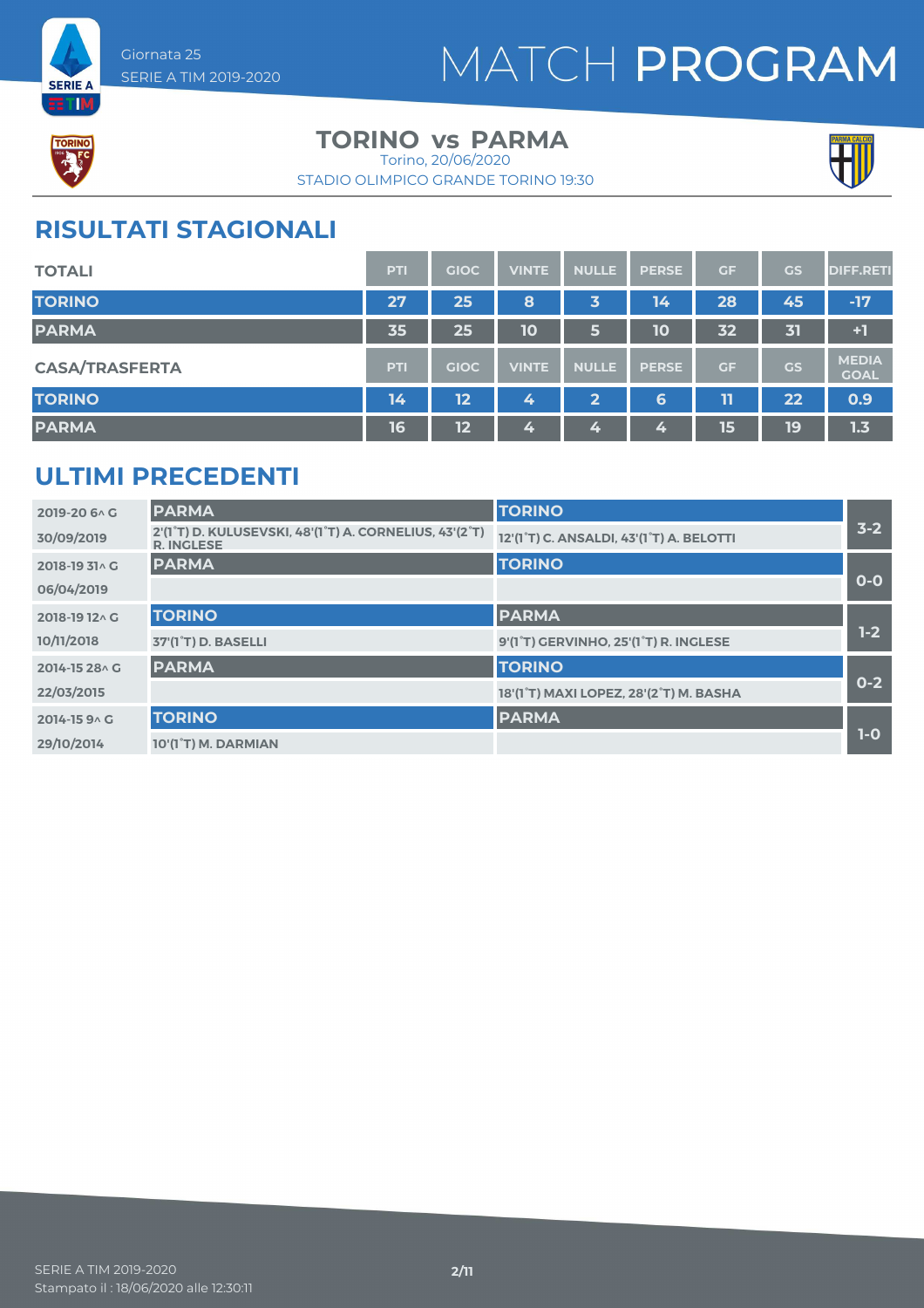



**SERIE A ETM** 

#### **TORINO** vs PARMA

STADIO OLIMPICO GRANDE TORINO 19:30 Torino, 20/06/2020



### **RISULTATI STAGIONALI**

| <b>TOTALI</b>         | PTI        | <b>GIOC</b> | <b>VINTE</b> | <b>NULLE</b> | <b>PERSE</b> | <b>GF</b> | GS        | <b>DIFF.RETI</b>            |
|-----------------------|------------|-------------|--------------|--------------|--------------|-----------|-----------|-----------------------------|
| <b>TORINO</b>         | 27         | 25          | 8            | 3            | 14           | 28        | 45        | $-17$                       |
| <b>PARMA</b>          | 35         | 25          | 10           | 6            | 10           | 32        | 31        | $+1$                        |
| <b>CASA/TRASFERTA</b> | <b>PTI</b> | <b>GIOC</b> | <b>VINTE</b> | <b>NULLE</b> | <b>PERSE</b> | <b>GF</b> | <b>GS</b> | <b>MEDIA</b><br><b>GOAL</b> |
| <b>TORINO</b>         | 14         | 12          | 4            | 2            | 6            | 11        | 22        | 0.9                         |
| <b>PARMA</b>          | 16         | 12          | 4            | 4            | 4            | 15        | 19        | 1.3                         |

### **ULTIMI PRECEDENTI**

| 2019-20 6 \ G  | <b>PARMA</b>                                                                | <b>TORINO</b>                                                   |         |
|----------------|-----------------------------------------------------------------------------|-----------------------------------------------------------------|---------|
| 30/09/2019     | 2'(1°T) D. KULUSEVSKI, 48'(1°T) A. CORNELIUS, 43'(2°T)<br><b>R. INGLESE</b> | 12'(1°T) C. ANSALDI, 43'(1°T) A. BELOTTI                        | $3 - 2$ |
| 2018-19 31^ G  | <b>PARMA</b>                                                                | <b>TORINO</b>                                                   |         |
| 06/04/2019     |                                                                             |                                                                 | $O-O$   |
| 2018-19 12 \ G | <b>TORINO</b>                                                               | <b>PARMA</b>                                                    |         |
| 10/11/2018     | 37'(1 <sup>°</sup> T) D. BASELLI                                            | 9'(1 <sup>°</sup> T) GERVINHO, 25'(1 <sup>°</sup> T) R. INGLESE | $1-2$   |
| 2014-15 28 \ G | <b>PARMA</b>                                                                | <b>TORINO</b>                                                   |         |
| 22/03/2015     |                                                                             | 18'(1°T) MAXI LOPEZ, 28'(2°T) M. BASHA                          | $0 - 2$ |
| 2014-15 9 A G  | <b>TORINO</b>                                                               | <b>PARMA</b>                                                    |         |
| 29/10/2014     | 10'(1°T) M. DARMIAN                                                         |                                                                 | $1-0$   |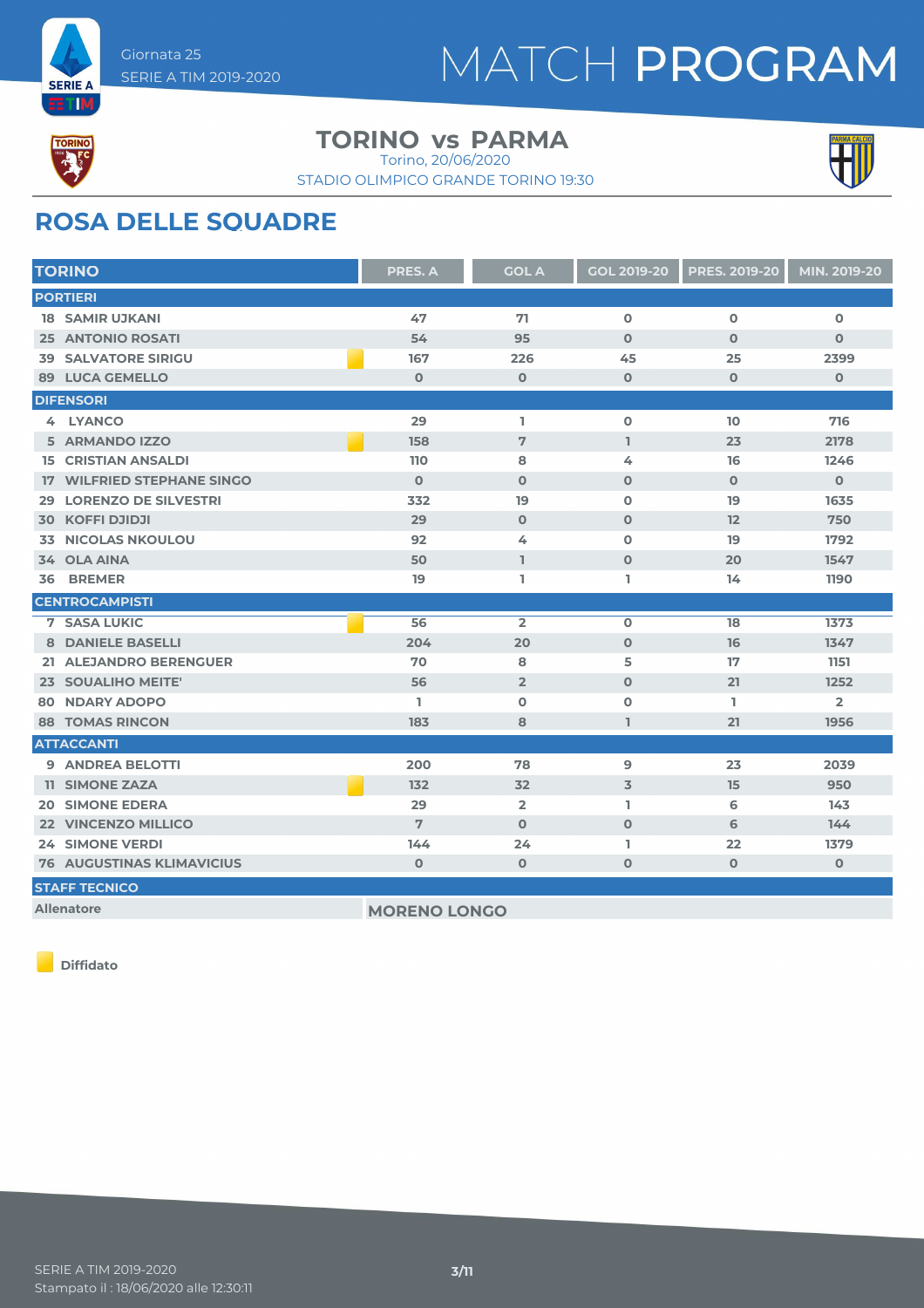



**ETIM** 

#### **TORINO** vs PARMA

Torino, 20/06/2020





### **ROSA DELLE SQUADRE**

| <b>TORINO</b>                     | PRES. A     | <b>GOL A</b>   | <b>GOL 2019-20</b> | <b>PRES. 2019-20</b> | MIN. 2019-20   |
|-----------------------------------|-------------|----------------|--------------------|----------------------|----------------|
| <b>PORTIERI</b>                   |             |                |                    |                      |                |
| <b>18 SAMIR UJKANI</b>            | 47          | 71             | $\mathbf 0$        | $\overline{0}$       | $\Omega$       |
| <b>25 ANTONIO ROSATI</b>          | 54          | 95             | $\Omega$           | $\mathbf 0$          | $\mathbf 0$    |
| <b>SALVATORE SIRIGU</b><br>39     | 167         | 226            | 45                 | 25                   | 2399           |
| <b>89 LUCA GEMELLO</b>            | $\mathbf 0$ | $\mathbf 0$    | $\mathbf 0$        | $\mathbf{O}$         | $\mathbf 0$    |
| <b>DIFENSORI</b>                  |             |                |                    |                      |                |
| 4 LYANCO                          | 29          | I.             | $\mathbf 0$        | 10                   | 716            |
| 5 ARMANDO IZZO                    | 158         | 7              | $\mathbf{I}$       | 23                   | 2178           |
| <b>15 CRISTIAN ANSALDI</b>        | 110         | 8              | 4                  | 16                   | 1246           |
| <b>17 WILFRIED STEPHANE SINGO</b> | $\Omega$    | $\Omega$       | $\mathbf 0$        | $\Omega$             | $\Omega$       |
| <b>LORENZO DE SILVESTRI</b><br>29 | 332         | 19             | 0                  | 19                   | 1635           |
| <b>30 KOFFI DJIDJI</b>            | 29          | $\mathbf 0$    | $\mathbf 0$        | 12                   | 750            |
| <b>NICOLAS NKOULOU</b><br>33.     | 92          | 4              | $\mathbf 0$        | 19                   | 1792           |
| 34 OLA AINA                       | 50          | L              | $\mathbf{O}$       | 20                   | 1547           |
| 36 BREMER                         | 19          | L              | L                  | 14                   | 1190           |
| <b>CENTROCAMPISTI</b>             |             |                |                    |                      |                |
| <b>7 SASA LUKIC</b>               | 56          | $\overline{2}$ | $\mathbf 0$        | 18                   | 1373           |
| 8 DANIELE BASELLI                 | 204         | 20             | $\mathbf 0$        | 16                   | 1347           |
| 21 ALEJANDRO BERENGUER            | 70          | 8              | 5                  | 17                   | 1151           |
| 23 SOUALIHO MEITE'                | 56          | $\overline{2}$ | $\mathbf 0$        | 21                   | 1252           |
| <b>80 NDARY ADOPO</b>             | L.          | $\Omega$       | $\mathbf 0$        | L.                   | $\overline{2}$ |
| <b>88 TOMAS RINCON</b>            | 183         | 8              | I.                 | 21                   | 1956           |
| <b>ATTACCANTI</b>                 |             |                |                    |                      |                |
| 9 ANDREA BELOTTI                  | 200         | 78             | 9                  | 23                   | 2039           |
| <b>11 SIMONE ZAZA</b>             | 132         | 32             | 3                  | 15                   | 950            |
| <b>20 SIMONE EDERA</b>            | 29          | $\overline{2}$ | L.                 | 6                    | 143            |
| 22 VINCENZO MILLICO               | 7           | $\Omega$       | $\mathbf 0$        | 6                    | 144            |
| <b>24 SIMONE VERDI</b>            | 144         | 24             | L                  | 22                   | 1379           |
| <b>76 AUGUSTINAS KLIMAVICIUS</b>  | $\mathbf 0$ | $\mathbf 0$    | $\mathbf 0$        | $\mathbf 0$          | $\mathbf 0$    |
| <b>STAFF TECNICO</b>              |             |                |                    |                      |                |
|                                   |             |                |                    |                      |                |

**Allenatore MORENO LONGO** 

**Diffidato**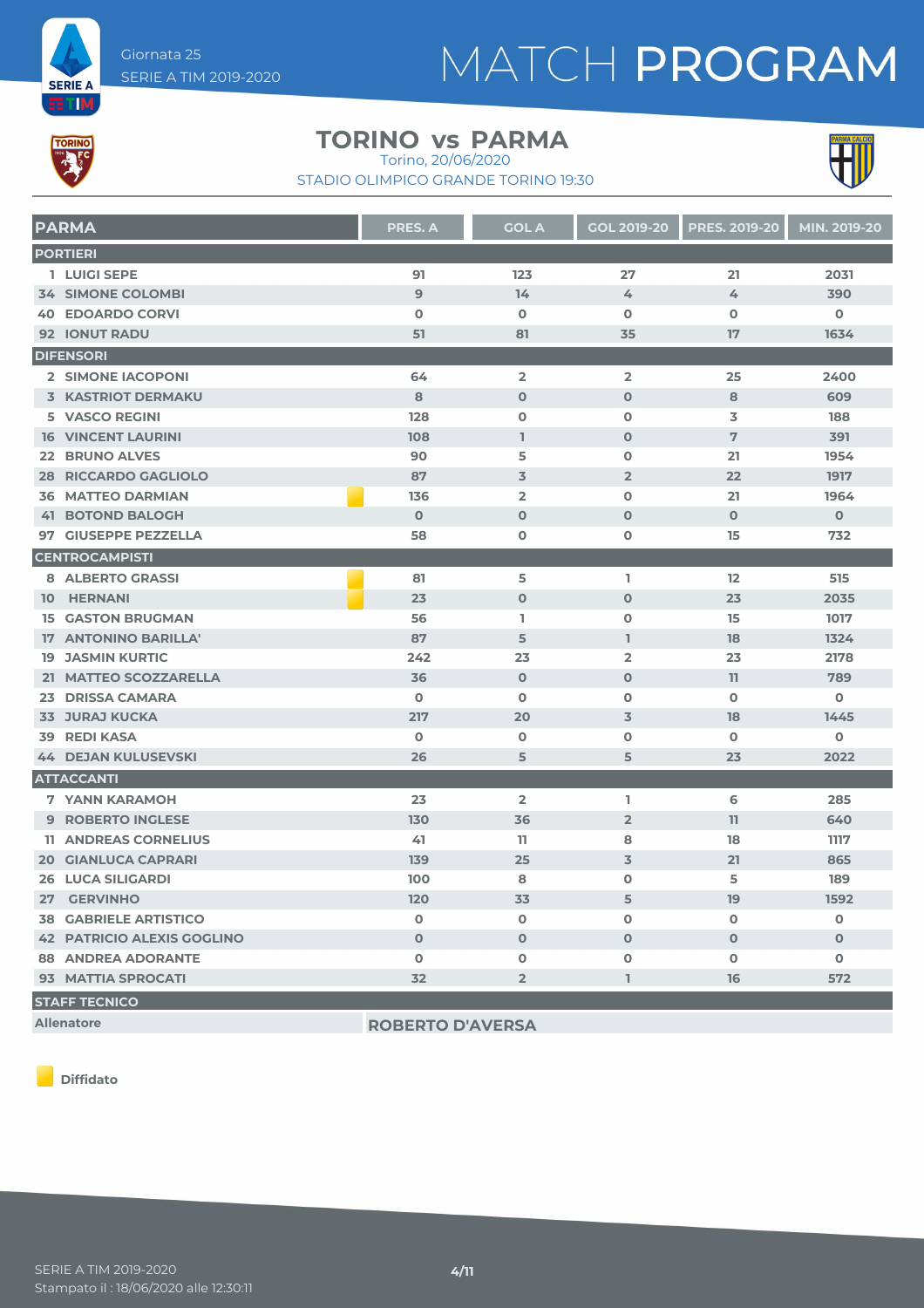# MATCH PROGRAM



**SERIE A ETIM** 

#### **TORINO** vs PARMA

Torino, 20/06/2020

STADIO OLIMPICO GRANDE TORINO 19:30



| <b>PARMA</b>                      | <b>PRES. A</b> | <b>GOL A</b>   | <b>GOL 2019-20</b> | <b>PRES. 2019-20</b> | MIN. 2019-20 |
|-----------------------------------|----------------|----------------|--------------------|----------------------|--------------|
| <b>PORTIERI</b>                   |                |                |                    |                      |              |
| 1 LUIGI SEPE                      | 91             | 123            | 27                 | 21                   | 2031         |
| <b>34 SIMONE COLOMBI</b>          | $\overline{9}$ | 14             | 4                  | 4                    | 390          |
| <b>40 EDOARDO CORVI</b>           | $\mathbf 0$    | $\mathbf 0$    | $\mathbf 0$        | $\Omega$             | $\mathbf 0$  |
| <b>92 IONUT RADU</b>              | 51             | 81             | 35                 | 17                   | 1634         |
| <b>DIFENSORI</b>                  |                |                |                    |                      |              |
| 2 SIMONE IACOPONI                 | 64             | $\overline{2}$ | $\overline{2}$     | 25                   | 2400         |
| <b>3 KASTRIOT DERMAKU</b>         | 8              | $\mathbf 0$    | $\mathbf{O}$       | 8                    | 609          |
| <b>5 VASCO REGINI</b>             | 128            | $\Omega$       | $\mathbf 0$        | 3                    | 188          |
| <b>16 VINCENT LAURINI</b>         | 108            | $\mathbf{I}$   | $\Omega$           | 7                    | 391          |
| <b>22 BRUNO ALVES</b>             | 90             | 5              | $\mathbf 0$        | 21                   | 1954         |
| <b>28 RICCARDO GAGLIOLO</b>       | 87             | $\overline{3}$ | $\overline{2}$     | 22                   | 1917         |
| <b>36 MATTEO DARMIAN</b>          | 136            | $\overline{2}$ | $\mathbf 0$        | 21                   | 1964         |
| <b>41 BOTOND BALOGH</b>           | $\Omega$       | $\Omega$       | $\Omega$           | $\Omega$             | $\mathbf 0$  |
| 97 GIUSEPPE PEZZELLA              | 58             | $\mathbf 0$    | 0                  | 15                   | 732          |
| <b>CENTROCAMPISTI</b>             |                |                |                    |                      |              |
| 8 ALBERTO GRASSI                  | 81             | 5              | I.                 | 12                   | 515          |
| 10 HERNANI                        | 23             | $\Omega$       | $\mathbf{O}$       | 23                   | 2035         |
| <b>15 GASTON BRUGMAN</b>          | 56             | L.             | 0                  | 15                   | 1017         |
| 17 ANTONINO BARILLA'              | 87             | 5              | L                  | 18                   | 1324         |
| <b>19 JASMIN KURTIC</b>           | 242            | 23             | $\overline{2}$     | 23                   | 2178         |
| 21 MATTEO SCOZZARELLA             | 36             | $\Omega$       | $\Omega$           | 11                   | 789          |
| 23 DRISSA CAMARA                  | $\mathbf 0$    | $\mathbf 0$    | 0                  | $\mathbf 0$          | $\mathbf 0$  |
| <b>33 JURAJ KUCKA</b>             | 217            | 20             | 3                  | 18                   | 1445         |
| <b>39 REDI KASA</b>               | $\mathbf 0$    | $\mathbf 0$    | $\mathbf 0$        | $\mathbf 0$          | $\mathbf 0$  |
| <b>44 DEJAN KULUSEVSKI</b>        | 26             | 5              | 5                  | 23                   | 2022         |
| <b>ATTACCANTI</b>                 |                |                |                    |                      |              |
| <b>7 YANN KARAMOH</b>             | 23             | $\overline{2}$ | L                  | 6                    | 285          |
| <b>9 ROBERTO INGLESE</b>          | 130            | 36             | $\overline{2}$     | 11                   | 640          |
| <b>11 ANDREAS CORNELIUS</b>       | 41             | 11             | 8                  | 18                   | 1117         |
| <b>20 GIANLUCA CAPRARI</b>        | 139            | 25             | 3                  | 21                   | 865          |
| <b>26 LUCA SILIGARDI</b>          | 100            | 8              | $\mathbf 0$        | 5                    | 189          |
| 27 GERVINHO                       | 120            | 33             | 5                  | 19                   | 1592         |
| <b>38 GABRIELE ARTISTICO</b>      | $\mathbf 0$    | $\mathbf 0$    | $\mathbf 0$        | $\mathbf 0$          | $\mathbf 0$  |
| <b>42 PATRICIO ALEXIS GOGLINO</b> | $\Omega$       | $\Omega$       | $\Omega$           | $\Omega$             | $\Omega$     |
| <b>88 ANDREA ADORANTE</b>         | $\mathbf 0$    | $\mathbf 0$    | $\mathbf 0$        | $\mathbf 0$          | 0            |
| 93 MATTIA SPROCATI                | 32             | $\overline{2}$ | $\hat{\mathbb{T}}$ | 16                   | 572          |
| <b>STAFF TECNICO</b>              |                |                |                    |                      |              |

**Allenatore ROBERTO D'AVERSA**

**Diffidato**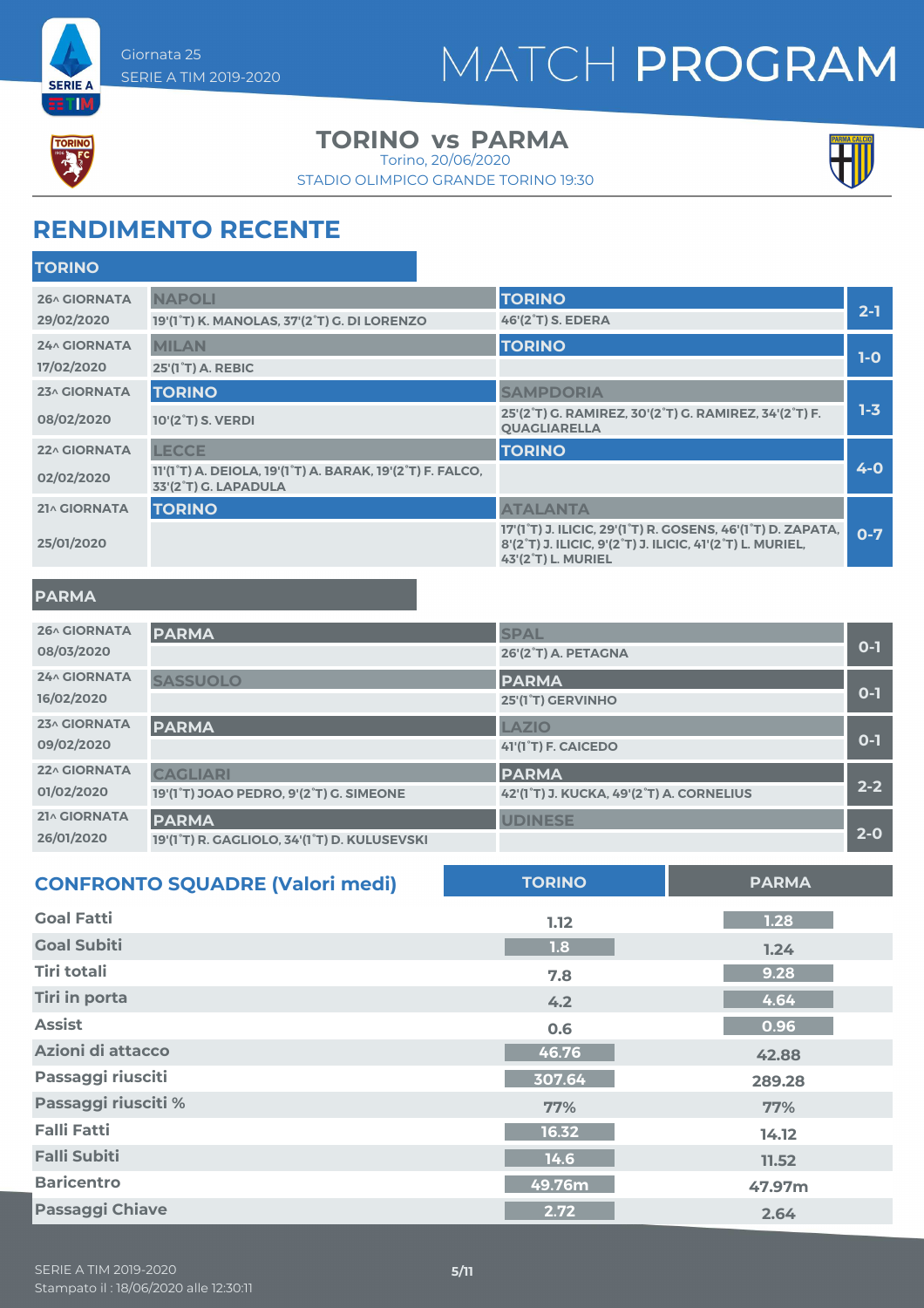



**SERIE A ETIM** 

#### **TORINO** vs PARMA

Torino, 20/06/2020

STADIO OLIMPICO GRANDE TORINO 19:30



### **RENDIMENTO RECENTE**

| <b>TORINO</b> |                                                                                                                          |                                                                                                                                                                                       |         |
|---------------|--------------------------------------------------------------------------------------------------------------------------|---------------------------------------------------------------------------------------------------------------------------------------------------------------------------------------|---------|
| 26^ GIORNATA  | <b>NAPOLI</b>                                                                                                            | <b>TORINO</b>                                                                                                                                                                         |         |
| 29/02/2020    | 19'(1°T) K. MANOLAS, 37'(2°T) G. DI LORENZO                                                                              | 46'(2 <sup>°</sup> T) S. EDERA                                                                                                                                                        | $2 - 1$ |
| 24^ GIORNATA  | <b>MILAN</b>                                                                                                             | <b>TORINO</b>                                                                                                                                                                         |         |
| 17/02/2020    | 25'(1 <sup>°</sup> T) A. REBIC                                                                                           |                                                                                                                                                                                       | $1-0$   |
| 23^ GIORNATA  | <b>TORINO</b>                                                                                                            | <b>SAMPDORIA</b>                                                                                                                                                                      |         |
| 08/02/2020    | 10'(2 <sup>°</sup> T) S. VERDI                                                                                           | 25'(2°T) G. RAMIREZ, 30'(2°T) G. RAMIREZ, 34'(2°T) F.<br><b>QUAGLIARELLA</b>                                                                                                          | $1 - 3$ |
| 22^ GIORNATA  | <b>LECCE</b>                                                                                                             | <b>TORINO</b>                                                                                                                                                                         |         |
| 02/02/2020    | 11'(1 <sup>°</sup> T) A. DEIOLA, 19'(1 <sup>°</sup> T) A. BARAK, 19'(2 <sup>°</sup> T) F. FALCO,<br>33'(2°T) G. LAPADULA |                                                                                                                                                                                       | $4 - 0$ |
| 21^ GIORNATA  | <b>TORINO</b>                                                                                                            | <b>ATALANTA</b>                                                                                                                                                                       |         |
| 25/01/2020    |                                                                                                                          | 17'(1 <sup>°</sup> T) J. ILICIC, 29'(1 <sup>°</sup> T) R. GOSENS, 46'(1 <sup>°</sup> T) D. ZAPATA,<br>8'(2°T) J. ILICIC, 9'(2°T) J. ILICIC, 41'(2°T) L. MURIEL,<br>43'(2°T) L. MURIEL | $O-7$   |
|               |                                                                                                                          |                                                                                                                                                                                       |         |

#### **PARMA**

| <b>26^ GIORNATA</b> | <b>PARMA</b>                                 | <b>SPAL</b>                              |         |
|---------------------|----------------------------------------------|------------------------------------------|---------|
| 08/03/2020          |                                              | 26'(2°T) A. PETAGNA                      | $0 - 1$ |
| <b>24^ GIORNATA</b> | <b>SASSUOLO</b>                              | <b>PARMA</b>                             |         |
| 16/02/2020          |                                              | 25'(1 <sup>°</sup> T) GERVINHO           | $0 - 1$ |
| 23^ GIORNATA        | <b>PARMA</b>                                 | <b>LAZIO</b>                             | $0 - 1$ |
| 09/02/2020          |                                              | 41'(1 <sup>°</sup> T) F. CAICEDO         |         |
| 22^ GIORNATA        | <b>CAGLIARI</b>                              | <b>PARMA</b>                             | $2 - 2$ |
| 01/02/2020          | 19'(1°T) JOAO PEDRO, 9'(2°T) G. SIMEONE      | 42'(1°T) J. KUCKA, 49'(2°T) A. CORNELIUS |         |
| 21^ GIORNATA        | <b>PARMA</b>                                 | <b>UDINESE</b>                           | $2 - 0$ |
| 26/01/2020          | 19'(1°T) R. GAGLIOLO, 34'(1°T) D. KULUSEVSKI |                                          |         |

| <b>CONFRONTO SQUADRE (Valori medi)</b> | <b>TORINO</b> | <b>PARMA</b> |
|----------------------------------------|---------------|--------------|
| <b>Goal Fatti</b>                      | 1.12          | 1.28         |
| <b>Goal Subiti</b>                     | 1.8           | 1.24         |
| Tiri totali                            | 7.8           | 9.28         |
| <b>Tiri in porta</b>                   | 4.2           | 4.64         |
| <b>Assist</b>                          | 0.6           | 0.96         |
| Azioni di attacco                      | 46.76         | 42.88        |
| Passaggi riusciti                      | 307.64        | 289.28       |
| Passaggi riusciti %                    | 77%           | 77%          |
| <b>Falli Fatti</b>                     | 16.32         | 14.12        |
| <b>Falli Subiti</b>                    | 14.6          | 11.52        |
| <b>Baricentro</b>                      | 49.76m        | 47.97m       |
| <b>Passaggi Chiave</b>                 | 2.72          | 2.64         |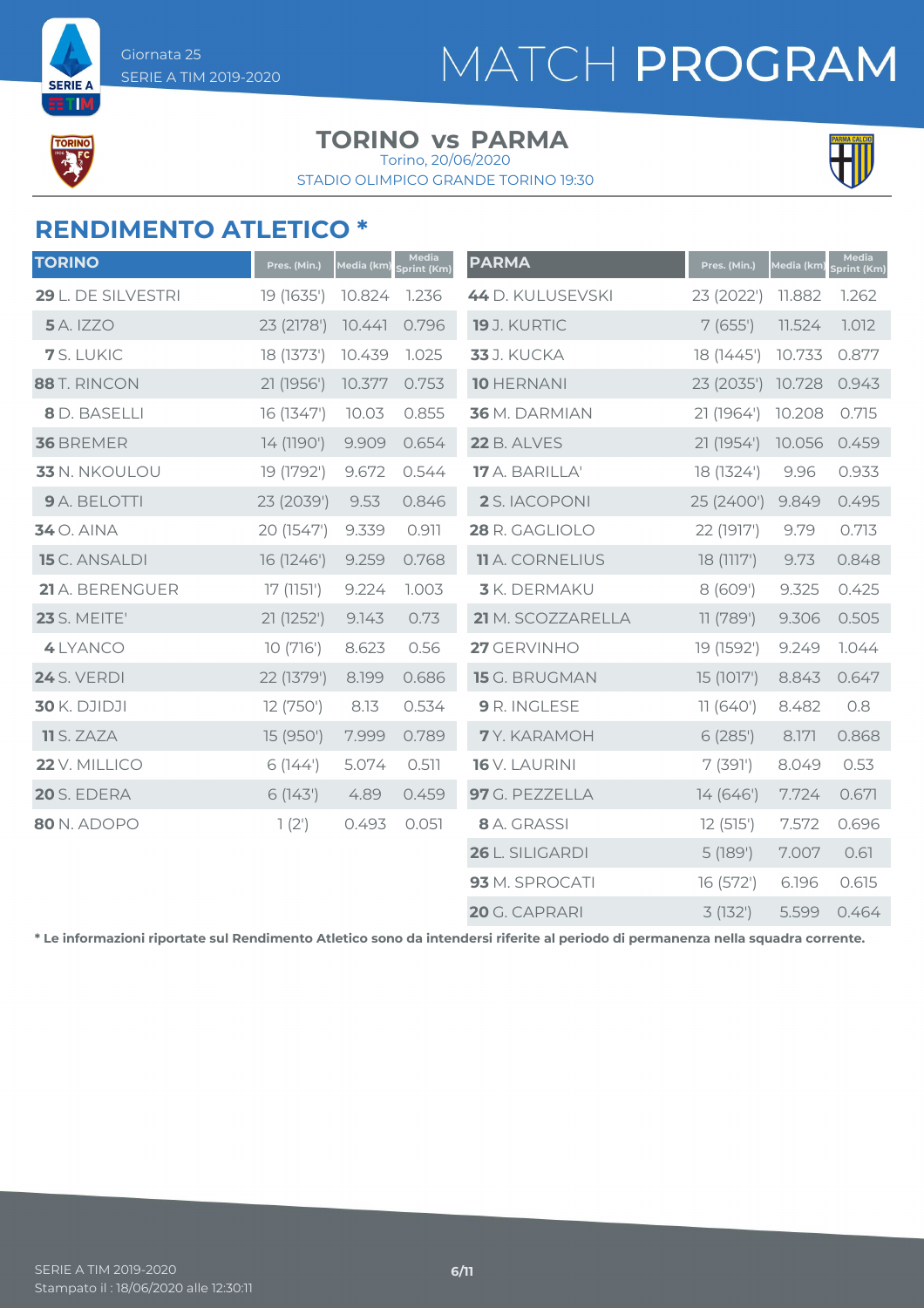# MATCH PROGRAM



**SERIE A** ETIM

#### **TORINO** vs PARMA

STADIO OLIMPICO GRANDE TORINO 19:30 Torino, 20/06/2020



### **RENDIMENTO ATLETICO \***

| <b>TORINO</b>        | Pres. (Min.) | Media (km) | Media<br>print (Km) | <b>PARMA</b>           | Pres. (Min.) | Media (km) | Media<br>Sprint (Km) |
|----------------------|--------------|------------|---------------------|------------------------|--------------|------------|----------------------|
| 29 L. DE SILVESTRI   | 19 (1635')   | 10.824     | 1.236               | 44 D. KULUSEVSKI       | 23 (2022')   | 11.882     | 1.262                |
| <b>5</b> A. IZZO     | 23 (2178')   | 10.441     | 0.796               | 19 J. KURTIC           | 7(655)       | 11.524     | 1.012                |
| 7 S. LUKIC           | 18 (1373')   | 10.439     | 1.025               | <b>33</b> J. KUCKA     | 18 (1445')   | 10.733     | 0.877                |
| 88 T. RINCON         | 21 (1956')   | 10.377     | 0.753               | <b>10 HERNANI</b>      | 23 (2035')   | 10.728     | 0.943                |
| 8 D. BASELLI         | 16 (1347')   | 10.03      | 0.855               | 36 M. DARMIAN          | 21 (1964')   | 10.208     | 0.715                |
| 36 BREMER            | 14 (1190')   | 9.909      | 0.654               | <b>22 B. ALVES</b>     | 21 (1954')   | 10.056     | 0.459                |
| 33 N. NKOULOU        | 19 (1792')   | 9.672      | 0.544               | 17 A. BARILLA'         | 18 (1324')   | 9.96       | 0.933                |
| 9 A. BELOTTI         | 23 (2039')   | 9.53       | 0.846               | 2 S. IACOPONI          | 25 (2400')   | 9.849      | 0.495                |
| <b>34</b> O. AINA    | 20 (1547')   | 9.339      | 0.911               | 28 R. GAGLIOLO         | 22 (1917')   | 9.79       | 0.713                |
| <b>15</b> C. ANSALDI | 16 (1246')   | 9.259      | 0.768               | <b>11</b> A. CORNELIUS | 18 (1117')   | 9.73       | 0.848                |
| 21 A. BERENGUER      | 17(1151)     | 9.224      | 1.003               | 3 K. DERMAKU           | 8(609')      | 9.325      | 0.425                |
| <b>23</b> S. MEITE'  | 21 (1252')   | 9.143      | 0.73                | 21 M. SCOZZARELLA      | 11 (789')    | 9.306      | 0.505                |
| 4 LYANCO             | 10(716)      | 8.623      | 0.56                | 27 GERVINHO            | 19 (1592')   | 9.249      | 1.044                |
| <b>24</b> S. VERDI   | 22 (1379')   | 8.199      | 0.686               | 15 G. BRUGMAN          | 15 (1017')   | 8.843      | 0.647                |
| <b>30 K. DJIDJI</b>  | 12 (750')    | 8.13       | 0.534               | 9 R. INGLESE           | 11(640)      | 8.482      | 0.8                  |
| <b>11</b> S. ZAZA    | 15 (950')    | 7.999      | 0.789               | 7Y. KARAMOH            | 6(285)       | 8.171      | 0.868                |
| 22 V. MILLICO        | 6(144)       | 5.074      | 0.511               | 16 V. LAURINI          | 7(391)       | 8.049      | 0.53                 |
| 20 S. EDERA          | 6(143)       | 4.89       | 0.459               | 97 G. PEZZELLA         | 14 (646')    | 7.724      | 0.671                |
| 80 N. ADOPO          | $1(2^{1})$   | 0.493      | 0.051               | 8 A. GRASSI            | 12(515)      | 7.572      | 0.696                |
|                      |              |            |                     | 26 L. SILIGARDI        | 5(189)       | 7.007      | 0.61                 |
|                      |              |            |                     | 93 M. SPROCATI         | 16 (572')    | 6.196      | 0.615                |
|                      |              |            |                     | 20 G. CAPRARI          | 3(132)       | 5.599      | 0.464                |

**\* Le informazioni riportate sul Rendimento Atletico sono da intendersi riferite al periodo di permanenza nella squadra corrente.**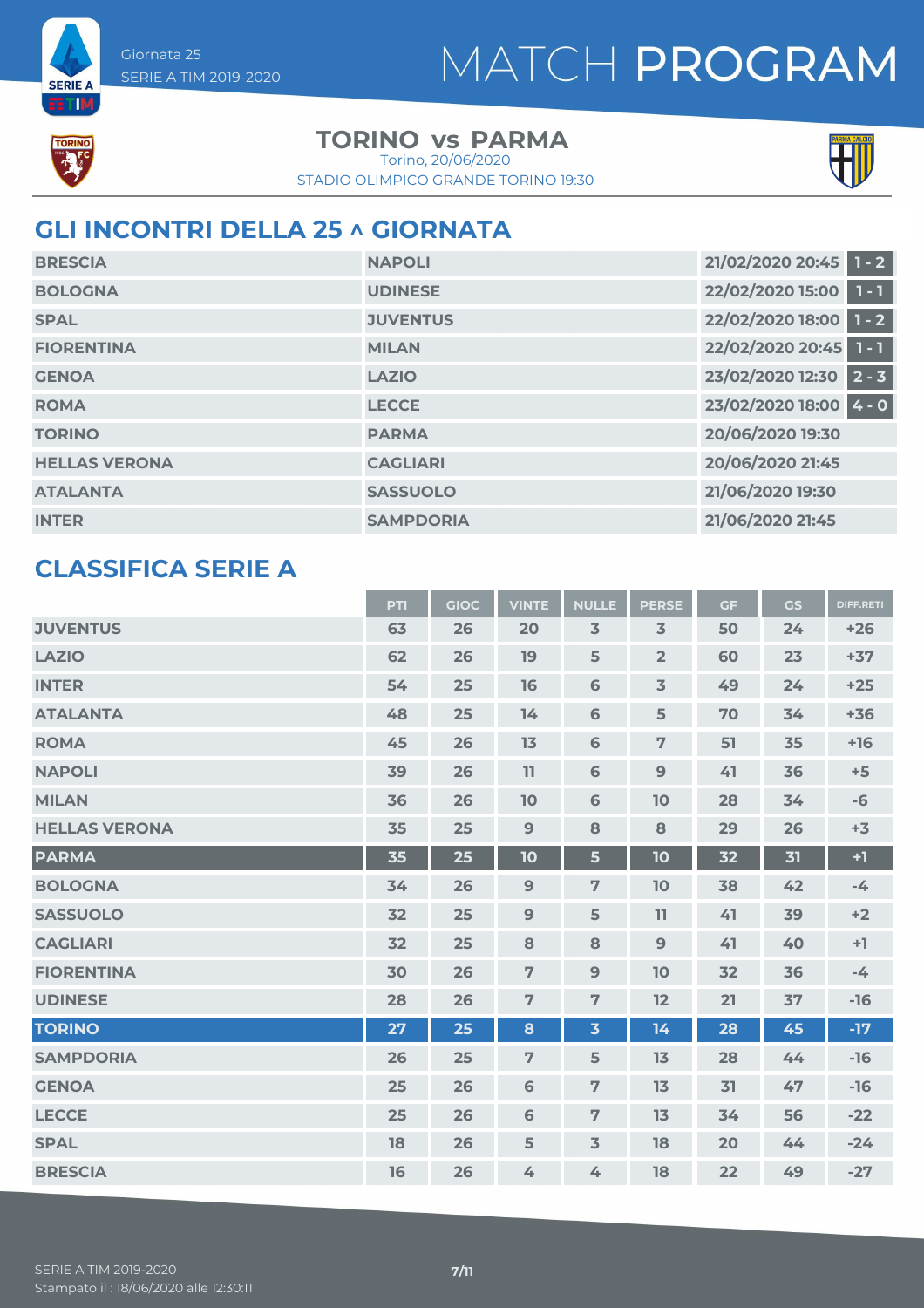



**SERIE A** ETIM

#### **TORINO** vs PARMA

STADIO OLIMPICO GRANDE TORINO 19:30 Torino, 20/06/2020



### **GLI INCONTRI DELLA 25 ^ GIORNATA**

| <b>BRESCIA</b>       | <b>NAPOLI</b>    | 21/02/2020 20:45 1 - 2 |
|----------------------|------------------|------------------------|
| <b>BOLOGNA</b>       | <b>UDINESE</b>   | 22/02/2020 15:00 1 - 1 |
| <b>SPAL</b>          | <b>JUVENTUS</b>  | 22/02/2020 18:00 1 - 2 |
| <b>FIORENTINA</b>    | <b>MILAN</b>     | 22/02/2020 20:45 1 - 1 |
| <b>GENOA</b>         | <b>LAZIO</b>     | 23/02/2020 12:30 2 - 3 |
| <b>ROMA</b>          | <b>LECCE</b>     | 23/02/2020 18:00 4 - 0 |
| <b>TORINO</b>        | <b>PARMA</b>     | 20/06/2020 19:30       |
| <b>HELLAS VERONA</b> | <b>CAGLIARI</b>  | 20/06/2020 21:45       |
| <b>ATALANTA</b>      | <b>SASSUOLO</b>  | 21/06/2020 19:30       |
| <b>INTER</b>         | <b>SAMPDORIA</b> | 21/06/2020 21:45       |

#### **CLASSIFICA SERIE A**

|                      | PTI | <b>GIOC</b> | <b>VINTE</b>   | <b>NULLE</b>            | <b>PERSE</b>   | <b>GF</b> | <b>GS</b> | <b>DIFF.RETI</b> |
|----------------------|-----|-------------|----------------|-------------------------|----------------|-----------|-----------|------------------|
| <b>JUVENTUS</b>      | 63  | 26          | 20             | $\overline{3}$          | $\overline{3}$ | 50        | 24        | $+26$            |
| <b>LAZIO</b>         | 62  | 26          | 19             | 5                       | $\overline{2}$ | 60        | 23        | $+37$            |
| <b>INTER</b>         | 54  | 25          | 16             | 6                       | $\overline{3}$ | 49        | 24        | $+25$            |
| <b>ATALANTA</b>      | 48  | 25          | 14             | 6                       | 5              | 70        | 34        | $+36$            |
| <b>ROMA</b>          | 45  | 26          | 13             | 6                       | $\overline{7}$ | 51        | 35        | $+16$            |
| <b>NAPOLI</b>        | 39  | 26          | 11             | 6                       | 9              | 41        | 36        | $+5$             |
| <b>MILAN</b>         | 36  | 26          | 10             | 6                       | 10             | 28        | 34        | $-6$             |
| <b>HELLAS VERONA</b> | 35  | 25          | 9              | 8                       | 8              | 29        | 26        | $+3$             |
| <b>PARMA</b>         | 35  | 25          | 10             | 5                       | 10             | 32        | 31        | $+1$             |
| <b>BOLOGNA</b>       | 34  | 26          | $\overline{9}$ | $\overline{7}$          | 10             | 38        | 42        | $-4$             |
| <b>SASSUOLO</b>      | 32  | 25          | 9              | 5                       | 11             | 41        | 39        | $+2$             |
| <b>CAGLIARI</b>      | 32  | 25          | 8              | 8                       | 9              | 41        | 40        | $+1$             |
| <b>FIORENTINA</b>    | 30  | 26          | $\overline{7}$ | 9                       | 10             | 32        | 36        | $-4$             |
| <b>UDINESE</b>       | 28  | 26          | $\overline{7}$ | $\overline{7}$          | 12             | 21        | 37        | $-16$            |
| <b>TORINO</b>        | 27  | 25          | 8              | $\overline{\mathbf{3}}$ | 14             | 28        | 45        | $-17$            |
| <b>SAMPDORIA</b>     | 26  | 25          | $\overline{7}$ | 5                       | 13             | 28        | 44        | $-16$            |
| <b>GENOA</b>         | 25  | 26          | 6              | $\overline{7}$          | 13             | 31        | 47        | $-16$            |
| <b>LECCE</b>         | 25  | 26          | 6              | $\overline{7}$          | 13             | 34        | 56        | $-22$            |
| <b>SPAL</b>          | 18  | 26          | 5              | $\overline{3}$          | 18             | 20        | 44        | $-24$            |
| <b>BRESCIA</b>       | 16  | 26          | 4              | 4                       | 18             | 22        | 49        | $-27$            |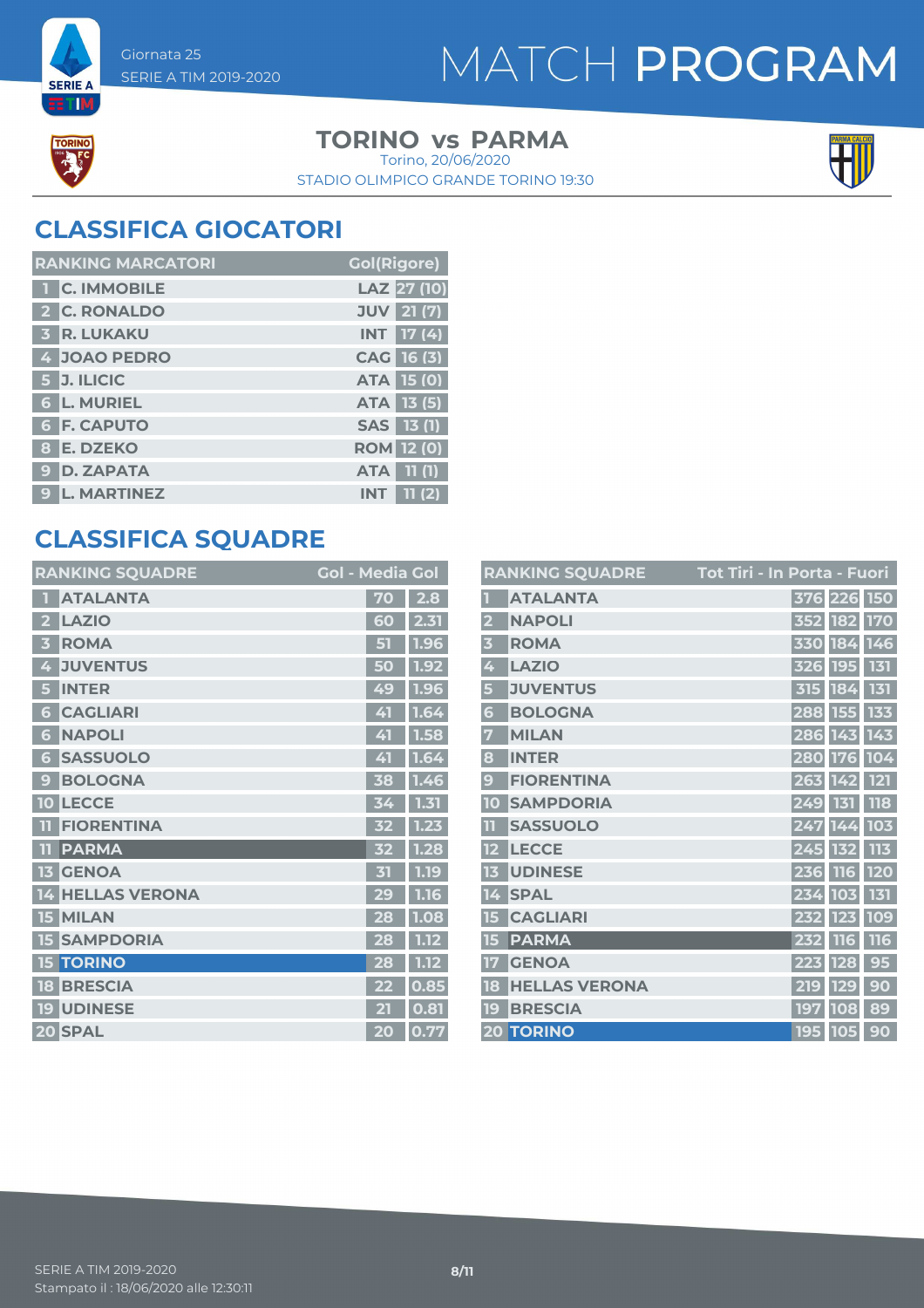# MATCH PROGRAM



**SERIE A RTM** 

#### **TORINO** vs PARMA

STADIO OLIMPICO GRANDE TORINO 19:30 Torino, 20/06/2020



### **CLASSIFICA GIOCATORI**

| <b>RANKING MARCATORI</b> | <b>Gol(Rigore)</b>  |
|--------------------------|---------------------|
| <b>T C. IMMOBILE</b>     | LAZ 27 (10)         |
| 2 C. RONALDO             | <b>JUV</b> 21 (7)   |
| 3 R. LUKAKU              | INT 17 (4)          |
| 4 JOAO PEDRO             | CAG 16 (3)          |
| $5$ J. ILICIC            | <b>ATA 15 (0)</b>   |
| <b>6 L. MURIEL</b>       | <b>ATA</b> 13 (5)   |
| <b>6 F. CAPUTO</b>       | SAS 13 (1)          |
| 8 E. DZEKO               | <b>ROM</b> 12 (0)   |
| 9 D. ZAPATA              | <b>ATA</b> 11 (1)   |
| 9 L. MARTINEZ            | 11(2)<br><b>INT</b> |

### **CLASSIFICA SQUADRE**

| <b>RANKING SQUADRE</b>          | <b>Gol - Media Gol</b> |      |
|---------------------------------|------------------------|------|
| <b>ATALANTA</b>                 | 70                     | 2.8  |
| <b>LAZIO</b><br>2               | 60                     | 2.31 |
| <b>ROMA</b>                     | 51                     | 1.96 |
| <b>JUVENTUS</b><br>4            | 50                     | 1.92 |
| <b>INTER</b><br>5               | 49                     | 1.96 |
| <b>CAGLIARI</b><br>6            | 41                     | 1.64 |
| <b>NAPOLI</b><br>6              | 41                     | 1.58 |
| <b>SASSUOLO</b><br>6            | 41                     | 1.64 |
| <b>BOLOGNA</b><br>$\mathbf{C}$  | 38                     | 1.46 |
| <b>LECCE</b><br>10              | 34                     | 1.31 |
| <b>FIORENTINA</b><br>ПT         | 32                     | 1.23 |
| <b>PARMA</b><br>TT              | 52                     | 1.28 |
| <b>GENOA</b><br>13              | 31                     | 1.19 |
| <b>HELLAS VERONA</b><br>14      | 29                     | 1.16 |
| <b>MILAN</b><br>15 <sub>1</sub> | 28                     | 1.08 |
| <b>SAMPDORIA</b><br>15          | 28                     | 1.12 |
| <b>TORINO</b><br>15             | 28                     | 1.12 |
| <b>BRESCIA</b><br>18            | 22                     | 0.85 |
| <b>UDINESE</b><br>19            | 21                     | 0.81 |
| 20 SPAL                         | 20                     | 0.77 |

|                         | <b>RANKING SQUADRE</b> | <u> Tot Tiri - In Porta - Fuori</u> |             |            |
|-------------------------|------------------------|-------------------------------------|-------------|------------|
|                         | <b>ATALANTA</b>        |                                     | 376 226 150 |            |
| $\overline{\mathbf{2}}$ | <b>NAPOLI</b>          |                                     | 352 182 170 |            |
| $\overline{\mathbf{3}}$ | <b>ROMA</b>            |                                     | 330 184 146 |            |
| 4                       | <b>LAZIO</b>           |                                     | 326 195 131 |            |
| 5                       | <b>JUVENTUS</b>        |                                     | 315 184     | 131        |
| 6                       | <b>BOLOGNA</b>         |                                     | 288 155 133 |            |
| 7                       | <b>MILAN</b>           |                                     | 286 143 143 |            |
| 8                       | <b>INTER</b>           |                                     | 280 176 104 |            |
| 9                       | <b>FIORENTINA</b>      |                                     | 263 142 121 |            |
| 10                      | <b>SAMPDORIA</b>       | 249 131                             |             | <b>118</b> |
| $\overline{\mathbf{1}}$ | <b>SASSUOLO</b>        |                                     | 247 144     | 103        |
| 12                      | <b>LECCE</b>           |                                     | 245 132 113 |            |
| 13                      | <b>UDINESE</b>         |                                     | 236 116 120 |            |
| 14                      | <b>SPAL</b>            |                                     | 234 103 131 |            |
| 15                      | <b>CAGLIARI</b>        |                                     | 232 123 109 |            |
| 15                      | <b>PARMA</b>           | 232 116                             |             | 116        |
| 17                      | <b>GENOA</b>           | 223 128                             |             | 95         |
| 18                      | <b>HELLAS VERONA</b>   |                                     | 219 129     | 90         |
| 19                      | <b>BRESCIA</b>         |                                     | 197 108     | 89         |
|                         | <b>20 TORINO</b>       |                                     | 195 105 90  |            |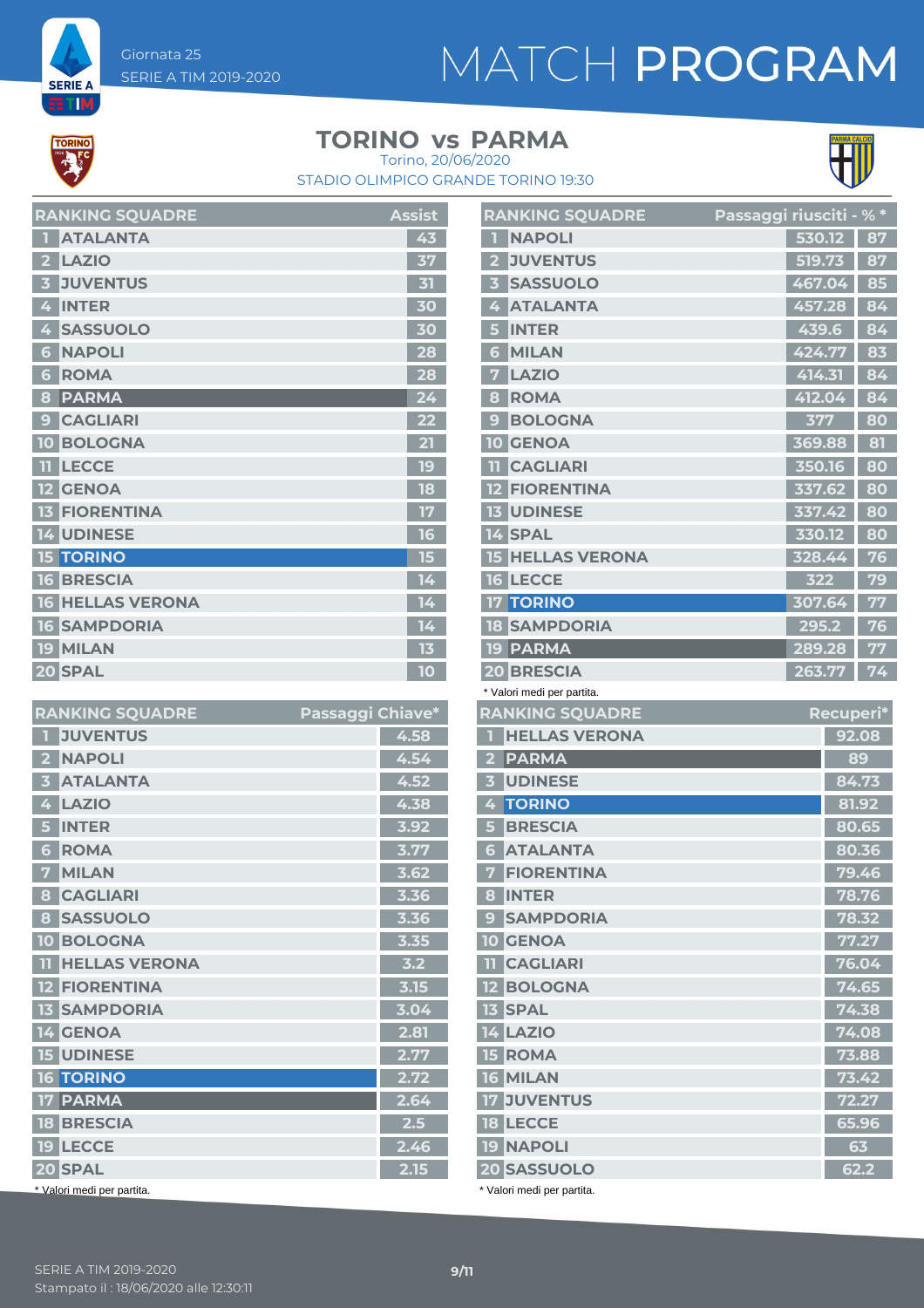# MATCH PROGRAM



**SERIE A** ET M

### **TORINO** vs PARMA



STADIO OLIMPICO GRANDE TORINO 19:30 Torino, 20/06/2020

|                         | <b>RANKING SQUADRE</b>  | <b>Assist</b>   |
|-------------------------|-------------------------|-----------------|
|                         | <b>ATALANTA</b>         | 43              |
| $\overline{2}$          | <b>LAZIO</b>            | 37              |
| $\overline{\mathbf{3}}$ | <b>JUVENTUS</b>         | 31              |
| 4                       | <b>INTER</b>            | 30              |
| 4                       | <b>SASSUOLO</b>         | 30              |
| 6                       | <b>NAPOLI</b>           | 28              |
| ♦                       | <b>ROMA</b>             | 28              |
| 8                       | <b>PARMA</b>            | 24              |
| $\boldsymbol{9}$        | <b>CAGLIARI</b>         | 22              |
|                         | <b>10 BOLOGNA</b>       | 21              |
| n                       | <b>LECCE</b>            | 19              |
|                         | <b>12 GENOA</b>         | 18              |
|                         | <b>13 FIORENTINA</b>    | 17              |
|                         | 14 UDINESE              | 16              |
|                         | <b>15 TORINO</b>        | 15              |
|                         | <b>16 BRESCIA</b>       | 14 <sub>1</sub> |
|                         | <b>16 HELLAS VERONA</b> | 14              |
|                         | <b>16 SAMPDORIA</b>     | 14              |
|                         | <b>19 MILAN</b>         | 13              |
|                         | 20 SPAL                 | 10              |

|                | <b>RANKING SQUADRE</b>     | Passaggi Chiave* |      |
|----------------|----------------------------|------------------|------|
| п              | <b>JUVENTUS</b>            |                  | 4.58 |
| $\overline{2}$ | <b>NAPOLI</b>              |                  | 4.54 |
| 3              | <b>ATALANTA</b>            |                  | 4.52 |
| 4              | <b>LAZIO</b>               |                  | 4.38 |
| 5              | <b>INTER</b>               |                  | 3.92 |
| 6              | <b>ROMA</b>                |                  | 3.77 |
| 7              | <b>MILAN</b>               |                  | 3.62 |
| 8              | <b>CAGLIARI</b>            |                  | 3.36 |
| 8              | <b>SASSUOLO</b>            |                  | 3.36 |
| 10             | <b>BOLOGNA</b>             |                  | 3.35 |
| n              | <b>HELLAS VERONA</b>       |                  | 3.2  |
|                | <b>12 FIORENTINA</b>       |                  | 3.15 |
|                | <b>13 SAMPDORIA</b>        |                  | 3.04 |
| n.             | <b>4 GENOA</b>             |                  | 2.81 |
|                | <b>15 UDINESE</b>          |                  | 2.77 |
|                | <b>16 TORINO</b>           |                  | 2.72 |
| 17             | <b>PARMA</b>               |                  | 2.64 |
|                | <b>18 BRESCIA</b>          |                  | 2.5  |
|                | <b>19 LECCE</b>            |                  | 2.46 |
| 20 SPAL        |                            |                  | 2.15 |
|                | * Valori medi per partita. |                  |      |

|                         | <b>RANKING SQUADRE</b> | Passaggi riusciti - % * |        |    |
|-------------------------|------------------------|-------------------------|--------|----|
|                         | <b>NAPOLI</b>          |                         | 530.12 | 87 |
| $\overline{\mathbf{2}}$ | <b>JUVENTUS</b>        |                         | 519.73 | 87 |
| $\overline{\mathbf{3}}$ | <b>SASSUOLO</b>        |                         | 467.04 | 85 |
| 4                       | <b>ATALANTA</b>        |                         | 457.28 | 84 |
| 5                       | <b>INTER</b>           |                         | 439.6  | 84 |
| 6                       | <b>MILAN</b>           |                         | 424.77 | 83 |
| 7                       | <b>LAZIO</b>           |                         | 414.31 | 84 |
| 8                       | <b>ROMA</b>            |                         | 412.04 | 84 |
| 9                       | <b>BOLOGNA</b>         |                         | 377    | 80 |
| 10                      | <b>GENOA</b>           |                         | 369.88 | 81 |
| m                       | <b>CAGLIARI</b>        |                         | 350.16 | 80 |
|                         | <b>12 FIORENTINA</b>   |                         | 337.62 | 80 |
|                         | <b>13 UDINESE</b>      |                         | 337.42 | 80 |
|                         | 14 SPAL                |                         | 330.12 | 80 |
| 15                      | <b>HELLAS VERONA</b>   |                         | 328.44 | 76 |
|                         | <b>16 LECCE</b>        |                         | 322    | 79 |
|                         | <b>17 TORINO</b>       |                         | 307.64 | 77 |
|                         | <b>18 SAMPDORIA</b>    |                         | 295.2  | 76 |
| 19                      | <b>PARMA</b>           |                         | 289.28 | 77 |
|                         | <b>20 BRESCIA</b>      |                         | 263.77 | 74 |

|  |  | * Valori medi per partita. |
|--|--|----------------------------|
|  |  |                            |

| <b>RANKING SQUADRE</b>                  | Recuperi*           |
|-----------------------------------------|---------------------|
| <b>HELLAS VERONA</b>                    | 92.08               |
| <b>PARMA</b><br>$\overline{\mathbf{2}}$ | 89                  |
| <b>UDINESE</b><br>3                     | 84.73               |
| <b>TORINO</b><br>4                      | 81.92               |
| <b>BRESCIA</b>                          | 80.65               |
| <b>ATALANTA</b><br>6                    | 80.36               |
| <b>FIORENTINA</b><br>7                  | 79.46               |
| <b>INTER</b><br>8                       | 78.76               |
| <b>SAMPDORIA</b><br>$\mathbf{c}$        | 78.32               |
| <b>10 GENOA</b>                         | 77.27               |
| <b>TI</b> CAGLIARI                      | 76.04               |
| <b>12 BOLOGNA</b>                       | 74.65               |
| <b>13 SPAL</b>                          | $\overline{7}$ 4.38 |
| <b>14 LAZIO</b>                         | 74.08               |
| <b>15 ROMA</b>                          | 73.88               |
| 16 MILAN                                | 73.42               |
| <b>17 JUVENTUS</b>                      | 72.27               |
| <b>18 LECCE</b>                         | 65.96               |
| <b>19 NAPOLI</b>                        | 63                  |
| 20 SASSUOLO                             | 62.2                |
|                                         |                     |

\* Valori medi per partita.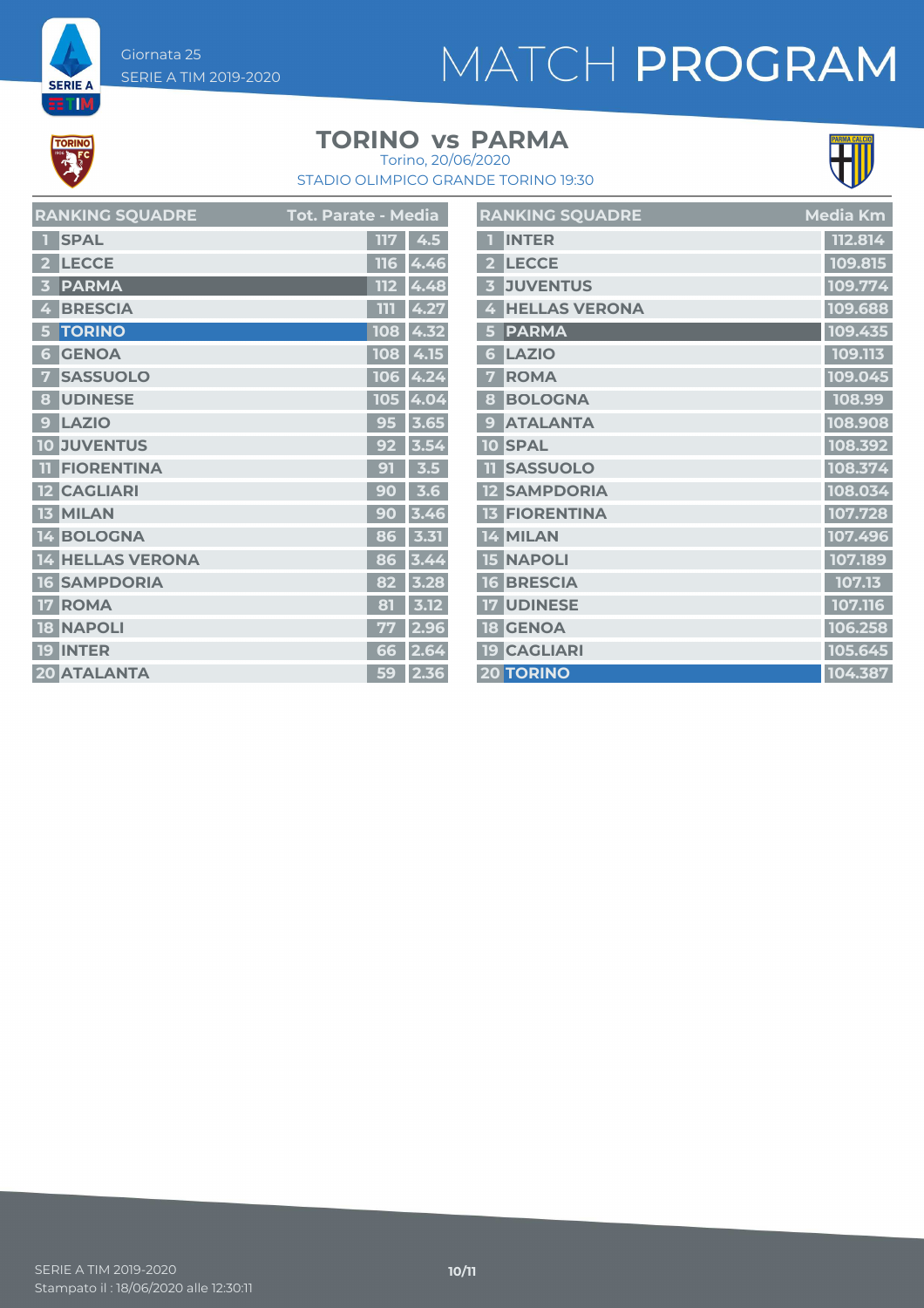# MATCH PROGRAM



**SERIE A ETM** 

#### **TORINO** vs PARMA



STADIO OLIMPICO GRANDE TORINO 19:30 Torino, 20/06/2020

| <b>RANKING SQUADRE</b> | <b>Tot. Parate - Media</b> | <b>RANKING SQUADRE</b> | <b>Media Km</b> |
|------------------------|----------------------------|------------------------|-----------------|
| 1 SPAL                 | 117   4.5                  | 1 INTER                | 112.814         |
| 2 LECCE                | $116$ 4.46                 | 2 LECCE                | 109.815         |
| 3 PARMA                | $112 \, 4.48$              | 3 JUVENTUS             | 109.774         |
| 4 BRESCIA              | 111   4.27                 | 4 HELLAS VERONA        | 109.688         |
| 5 TORINO               | $108$ 4.32                 | 5 PARMA                | 109.435         |
| <b>6 GENOA</b>         | 108 4.15                   | 6 LAZIO                | 109.113         |
| <b>7 SASSUOLO</b>      | $106$ 4.24                 | 7 ROMA                 | 109.045         |
| 8 UDINESE              | 105 4.04                   | 8 BOLOGNA              | 108.99          |
| 9 LAZIO                | $95 \mid 3.65$             | 9 ATALANTA             | 108.908         |
| <b>10 JUVENTUS</b>     | $92$ 3.54                  | <b>10 SPAL</b>         | 108.392         |
| <b>TI FIORENTINA</b>   | $91 \mid 3.5 \mid$         | <b>11 SASSUOLO</b>     | 108.374         |
| 12 CAGLIARI            | $90$ 3.6                   | <b>12 SAMPDORIA</b>    | 108.034         |
| 13 MILAN               | $90$ 3.46                  | <b>13 FIORENTINA</b>   | 107.728         |
| 14 BOLOGNA             | $86$ 3.31                  | 14 MILAN               | 107.496         |
| 14 HELLAS VERONA       | 86 3.44                    | <b>15 NAPOLI</b>       | 107.189         |
| <b>16 SAMPDORIA</b>    | 82 3.28                    | <b>16 BRESCIA</b>      | 107.13          |
| 17 ROMA                | $\overline{81}$ 3.12       | <b>17 UDINESE</b>      | 107.116         |
| <b>18 NAPOLI</b>       | $77$ 2.96                  | <b>18 GENOA</b>        | 106.258         |
| 19 INTER               | 66 2.64                    | <b>19 CAGLIARI</b>     | 105.645         |
| 20 ATALANTA            | $59$ 2.36                  | <b>20 TORINO</b>       | 104.387         |